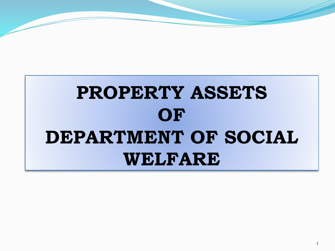# **PROPERTY ASSETS OF DEPARTMENT OF SOCIAL WELFARE**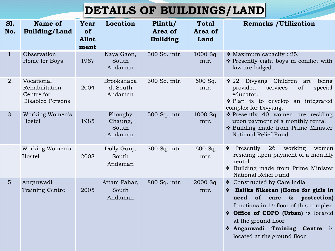## **DETAILS OF BUILDINGS/LAND**

| <b>S1.</b><br>No. | <b>Name of</b><br><b>Building/Land</b>                                | Year<br>of<br><b>Allot</b><br>ment | Location                               | Plinth/<br>Area of<br><b>Building</b> | <b>Total</b><br>Area of<br>Land | <b>Remarks / Utilization</b>                                                                                                                                                                                                                                                                                        |
|-------------------|-----------------------------------------------------------------------|------------------------------------|----------------------------------------|---------------------------------------|---------------------------------|---------------------------------------------------------------------------------------------------------------------------------------------------------------------------------------------------------------------------------------------------------------------------------------------------------------------|
| 1.                | Observation<br>Home for Boys                                          | 1987                               | Naya Gaon,<br>South<br>Andaman         | 300 Sq. mtr.                          | 1000 Sq.<br>mtr.                | $\cdot$ Maximum capacity : 25.<br>* Presently eight boys in conflict with<br>law are lodged.                                                                                                                                                                                                                        |
| 2.                | Vocational<br>Rehabilitation<br>Centre for<br><b>Disabled Persons</b> | 2004                               | Brookshaba<br>d, South<br>Andaman      | 300 Sq. mtr.                          | 600 Sq.<br>mtr.                 | ❖ 22 Divyang Children are<br>being<br>provided<br>services<br>of<br>special<br>educator.<br>❖ Plan is to develop an integrated<br>complex for Divyang.                                                                                                                                                              |
| 3.                | Working Women's<br>Hostel                                             | 1985                               | Phonghy<br>Chaung,<br>South<br>Andaman | 500 Sq. mtr.                          | 1000 Sq.<br>mtr.                | $\div$ Presently 40 women are residing<br>upon payment of a monthly rental<br>* Building made from Prime Minister<br>National Relief Fund                                                                                                                                                                           |
| 4.                | Working Women's<br>Hostel                                             | 2008                               | Dolly Gunj,<br>South<br>Andaman        | 300 Sq. mtr.                          | 600 Sq.<br>mtr.                 | 26<br>❖ Presently<br>working<br>women<br>residing upon payment of a monthly<br>rental<br>* Building made from Prime Minister<br>National Relief Fund                                                                                                                                                                |
| 5.                | Anganwadi<br>Training Centre                                          | 2005                               | Attam Pahar,<br>South<br>Andaman       | 800 Sq. mtr.                          | 2000 Sq.<br>mtr.                | ❖ Constructed by Care India<br>* Balika Niketan (Home for girls in<br>of<br>protection)<br>need<br>$\boldsymbol{\delta}$<br>care<br>functions in 1 <sup>st</sup> floor of this complex<br>❖ Office of CDPO (Urban) is located<br>at the ground floor<br>Anganwadi Training Centre is<br>located at the ground floor |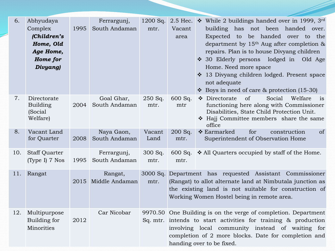| 6.  | Abhyudaya<br>Complex<br>(Children's<br>Home, Old<br>Age Home,<br>Home for<br>Divyang) | 1995 | Ferrargunj,<br>South Andaman | $1200$ Sq.<br>mtr. | Vacant<br>area                                                                                                                                                                                                                                                            | 2.5 Hec. $\bullet$ While 2 buildings handed over in 1999, 3rd<br>building has<br>not been handed over.<br>Expected to be handed over to the<br>department by $15th$ Aug after completion &<br>repairs. Plan is to house Divyang children<br>❖ 30 Elderly persons lodged in<br>Old Age<br>Home. Need more space<br>❖ 13 Divyang children lodged. Present space<br>not adequate<br>❖ Boys in need of care $&$ protection (15-30) |  |
|-----|---------------------------------------------------------------------------------------|------|------------------------------|--------------------|---------------------------------------------------------------------------------------------------------------------------------------------------------------------------------------------------------------------------------------------------------------------------|--------------------------------------------------------------------------------------------------------------------------------------------------------------------------------------------------------------------------------------------------------------------------------------------------------------------------------------------------------------------------------------------------------------------------------|--|
| 7.  | Directorate<br><b>Building</b><br>(Social<br>Welfare)                                 | 2004 | Goal Ghar,<br>South Andaman  | 250 Sq.<br>mtr.    | 600 Sq.<br>mtr                                                                                                                                                                                                                                                            | ❖ Directorate<br>of<br>Social<br>Welfare<br>is<br>functioning here along with Commissioner<br>Disabilities, State Child Protection Unit.<br>* Hajj Committee members share the same<br>office                                                                                                                                                                                                                                  |  |
| 8.  | Vacant Land<br>for Quarter                                                            | 2008 | Naya Gaon,<br>South Andaman  | Vacant<br>Land     | 200 Sq.<br>mtr.                                                                                                                                                                                                                                                           | for<br>construction<br><sub>of</sub><br>❖ Earmarked<br>Superintendent of Observation Home                                                                                                                                                                                                                                                                                                                                      |  |
| 10. | <b>Staff Quarter</b><br>(Type I) 7 Nos                                                | 1995 | Ferrargunj,<br>South Andaman | 300 Sq.<br>mtr.    | mtr.                                                                                                                                                                                                                                                                      | 600 Sq. $\bullet$ All Quarters occupied by staff of the Home.                                                                                                                                                                                                                                                                                                                                                                  |  |
| 11. | Rangat                                                                                | 2015 | Rangat,<br>Middle Andaman    | mtr.               | 3000 Sq. Department has requested Assistant Commissioner<br>(Rangat) to allot alternate land at Nimbutala junction as<br>the existing land is not suitable for construction of<br>Working Women Hostel being in remote area.                                              |                                                                                                                                                                                                                                                                                                                                                                                                                                |  |
| 12. | Multipurpose<br>Building for<br>Minorities                                            | 2012 | Car Nicobar                  |                    | 9970.50 One Building is on the verge of completion. Department<br>Sq. mtr. intends to start activities for training & production<br>involving local community instead of waiting for<br>completion of 2 more blocks. Date for completion and<br>handing over to be fixed. |                                                                                                                                                                                                                                                                                                                                                                                                                                |  |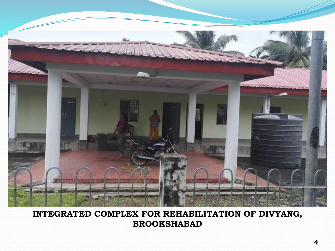

#### **INTEGRATED COMPLEX FOR REHABILITATION OF DIVYANG, BROOKSHABAD**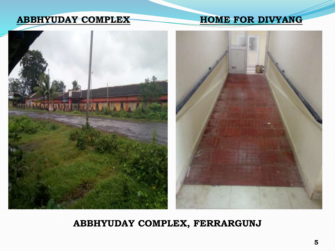#### **ABBHYUDAY COMPLEX HOME FOR DIVYANG**



#### **ABBHYUDAY COMPLEX, FERRARGUNJ**